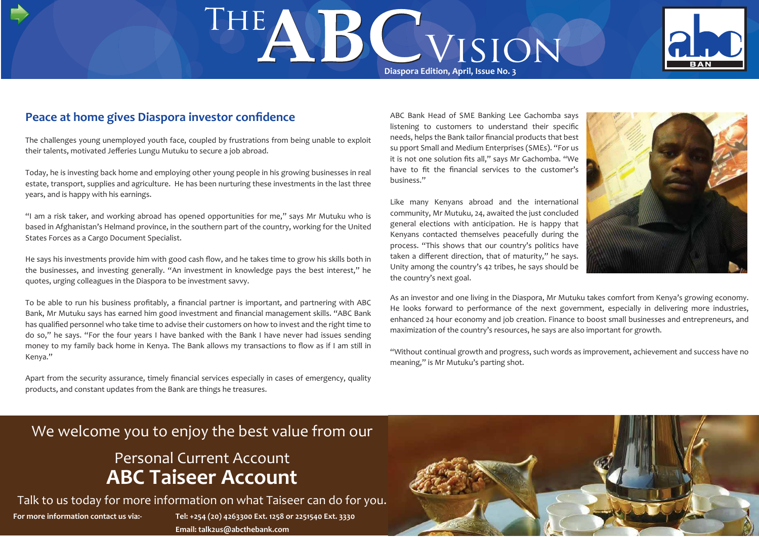# THE **DE WISION**



#### **Peace at home gives Diaspora investor confidence**

The challenges young unemployed youth face, coupled by frustrations from being unable to exploit their talents, motivated Jefferies Lungu Mutuku to secure a job abroad.

Today, he is investing back home and employing other young people in his growing businesses in real estate, transport, supplies and agriculture. He has been nurturing these investments in the last three years, and is happy with his earnings.

"I am a risk taker, and working abroad has opened opportunities for me," says Mr Mutuku who is based in Afghanistan's Helmand province, in the southern part of the country, working for the United States Forces as a Cargo Document Specialist.

He says his investments provide him with good cash flow, and he takes time to grow his skills both in the businesses, and investing generally. "An investment in knowledge pays the best interest," he quotes, urging colleagues in the Diaspora to be investment savvy.

To be able to run his business profitably, a financial partner is important, and partnering with ABC Bank, Mr Mutuku says has earned him good investment and financial management skills. "ABC Bank has qualified personnel who take time to advise their customers on how to invest and the right time to do so," he says. "For the four years I have banked with the Bank I have never had issues sending money to my family back home in Kenya. The Bank allows my transactions to flow as if I am still in Kenya."

Apart from the security assurance, timely financial services especially in cases of emergency, quality products, and constant updates from the Bank are things he treasures.

ABC Bank Head of SME Banking Lee Gachomba says listening to customers to understand their specific needs, helps the Bank tailor financial products that best su pport Small and Medium Enterprises (SMEs). "For us it is not one solution fits all," says Mr Gachomba. "We have to fit the financial services to the customer's business."

Like many Kenyans abroad and the international community, Mr Mutuku, 24, awaited the just concluded general elections with anticipation. He is happy that Kenyans contacted themselves peacefully during the process. "This shows that our country's politics have taken a different direction, that of maturity," he says. Unity among the country's 42 tribes, he says should be the country's next goal.



As an investor and one living in the Diaspora, Mr Mutuku takes comfort from Kenya's growing economy. He looks forward to performance of the next government, especially in delivering more industries, enhanced 24 hour economy and job creation. Finance to boost small businesses and entrepreneurs, and maximization of the country's resources, he says are also important for growth.

"Without continual growth and progress, such words as improvement, achievement and success have no meaning," is Mr Mutuku's parting shot.

## We welcome you to enjoy the best value from our

## Personal Current Account **ABC Taiseer Account**

**For more information contact us via:- Tel: +254 (20) 4263300 Ext. 1258 or 2251540 Ext. 3330 Email: talk2us@abcthebank.com** Talk to us today for more information on what Taiseer can do for you.

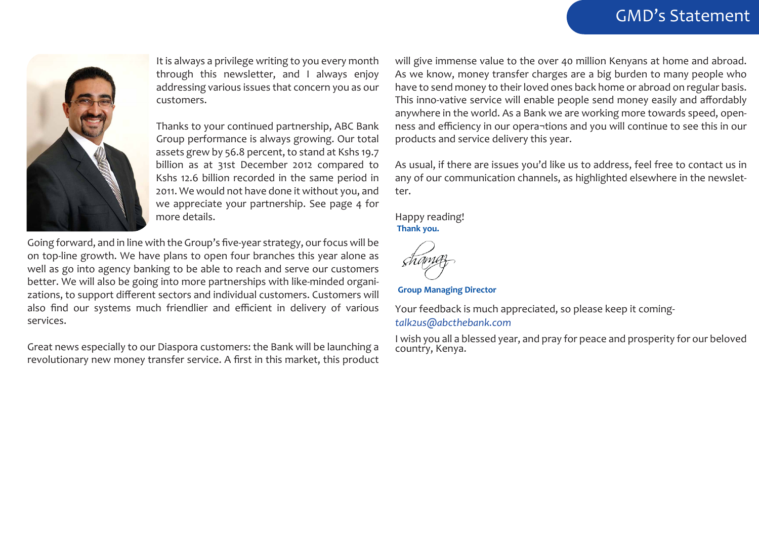## GMD's Statement



It is always a privilege writing to you every month through this newsletter, and I always enjoy addressing various issues that concern you as our customers.

Thanks to your continued partnership, ABC Bank Group performance is always growing. Our total assets grew by 56.8 percent, to stand at Kshs 19.7 billion as at 31st December 2012 compared to Kshs 12.6 billion recorded in the same period in 2011. We would not have done it without you, and we appreciate your partnership. See page 4 for more details.

Going forward, and in line with the Group's five-year strategy, our focus will be on top-line growth. We have plans to open four branches this year alone as well as go into agency banking to be able to reach and serve our customers better. We will also be going into more partnerships with like-minded organizations, to support different sectors and individual customers. Customers will also find our systems much friendlier and efficient in delivery of various services.

Great news especially to our Diaspora customers: the Bank will be launching a revolutionary new money transfer service. A first in this market, this product will give immense value to the over 40 million Kenyans at home and abroad. As we know, money transfer charges are a big burden to many people who have to send money to their loved ones back home or abroad on regular basis. This inno-vative service will enable people send money easily and affordably anywhere in the world. As a Bank we are working more towards speed, openness and efficiency in our opera¬tions and you will continue to see this in our products and service delivery this year.

As usual, if there are issues you'd like us to address, feel free to contact us in any of our communication channels, as highlighted elsewhere in the newsletter.

Happy reading! **Thank you.**

**Group Managing Director**

Your feedback is much appreciated, so please keep it coming*talk2us@abcthebank.com*

I wish you all a blessed year, and pray for peace and prosperity for our beloved country, Kenya.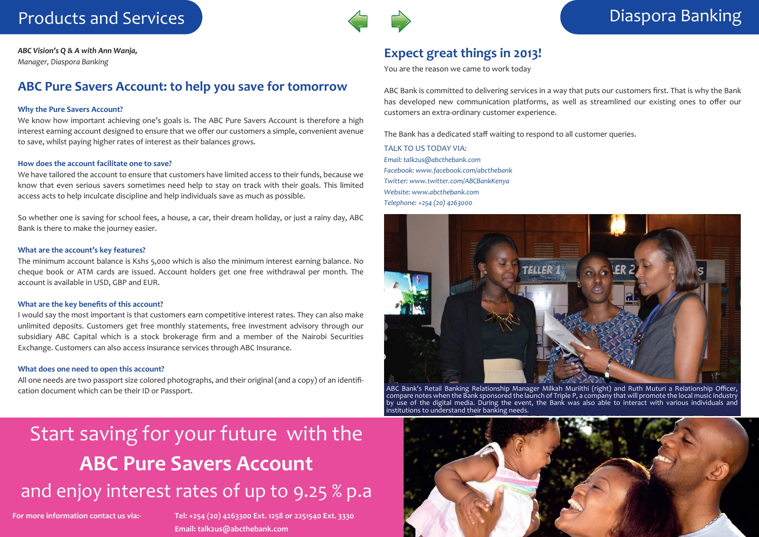## Products and Services Diaspora Banking



*ABC Vision's Q & A with Ann Wanja, Manager, Diaspora Banking*

#### **ABC Pure Savers Account: to help you save for tomorrow**

#### **Why the Pure Savers Account?**

We know how important achieving one's goals is. The ABC Pure Savers Account is therefore a high interest earning account designed to ensure that we offer our customers a simple, convenient avenue to save, whilst paying higher rates of interest as their balances grows.

#### **How does the account facilitate one to save?**

We have tailored the account to ensure that customers have limited access to their funds, because we know that even serious savers sometimes need help to stay on track with their goals. This limited access acts to help inculcate discipline and help individuals save as much as possible.

So whether one is saving for school fees, a house, a car, their dream holiday, or just a rainy day, ABC Bank is there to make the journey easier.

#### **What are the account's key features?**

The minimum account balance is Kshs 5,000 which is also the minimum interest earning balance. No cheque book or ATM cards are issued. Account holders get one free withdrawal per month. The account is available in USD, GBP and EUR.

#### **What are the key benefits of this account?**

I would say the most important is that customers earn competitive interest rates. They can also make unlimited deposits. Customers get free monthly statements, free investment advisory through our subsidiary ABC Capital which is a stock brokerage firm and a member of the Nairobi Securities Exchange. Customers can also access insurance services through ABC Insurance.

#### **What does one need to open this account?**

All one needs are two passport size colored photographs, and their original (and a copy) of an identification document which can be their ID or Passport.

### **Expect great things in 2013!**

You are the reason we came to work today

ABC Bank is committed to delivering services in a way that puts our customers first. That is why the Bank has developed new communication platforms, as well as streamlined our existing ones to offer our customers an extra-ordinary customer experience.

The Bank has a dedicated staff waiting to respond to all customer queries.

TALK TO US TODAY VIA: *Email: talk2us@abcthebank.com Facebook: www.facebook.com/abcthebank Twitter: www.twitter.com/ABCBankKenya Website: www.abcthebank.com Telephone: +254 (20) 4263000* 



ABC Bank's Retail Banking Relationship Manager Milkah Muriithi (right) and Ruth Muturi a Relationship Officer, compare notes when the Bank sponsored the launch of Triple P, a company that will promote the local music industry by use of the digital media. During the event, the Bank was also able to interact with various individuals and institutions to understand their banking needs.

## Start saving for your future with the **ABC Pure Savers Account**  and enjoy interest rates of up to 9.25 % p.a

**For more information contact us via:- Tel: +254 (20) 4263300 Ext. 1258 or 2251540 Ext. 3330 Email: talk2us@abcthebank.com**

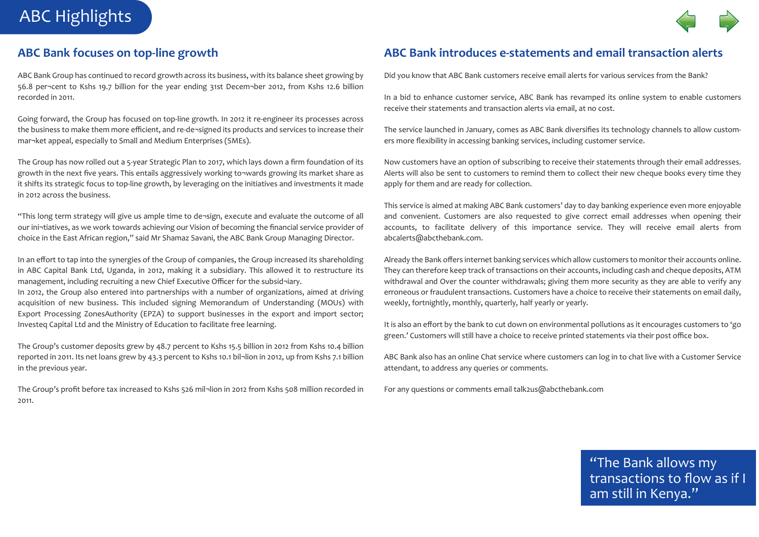## ABC Highlights



#### **ABC Bank focuses on top-line growth**

ABC Bank Group has continued to record growth across its business, with its balance sheet growing by 56.8 per¬cent to Kshs 19.7 billion for the year ending 31st Decem¬ber 2012, from Kshs 12.6 billion recorded in 2011.

Going forward, the Group has focused on top-line growth. In 2012 it re-engineer its processes across the business to make them more efficient, and re-de¬signed its products and services to increase their mar¬ket appeal, especially to Small and Medium Enterprises (SMEs).

The Group has now rolled out a 5-year Strategic Plan to 2017, which lays down a firm foundation of its growth in the next five years. This entails aggressively working to¬wards growing its market share as it shifts its strategic focus to top-line growth, by leveraging on the initiatives and investments it made in 2012 across the business.

"This long term strategy will give us ample time to de¬sign, execute and evaluate the outcome of all our ini¬tiatives, as we work towards achieving our Vision of becoming the financial service provider of choice in the East African region," said Mr Shamaz Savani, the ABC Bank Group Managing Director.

In an effort to tap into the synergies of the Group of companies, the Group increased its shareholding in ABC Capital Bank Ltd, Uganda, in 2012, making it a subsidiary. This allowed it to restructure its management, including recruiting a new Chief Executive Officer for the subsid¬iary. In 2012, the Group also entered into partnerships with a number of organizations, aimed at driving acquisition of new business. This included signing Memorandum of Understanding (MOUs) with Export Processing ZonesAuthority (EPZA) to support businesses in the export and import sector; Investeq Capital Ltd and the Ministry of Education to facilitate free learning.

The Group's customer deposits grew by 48.7 percent to Kshs 15.5 billion in 2012 from Kshs 10.4 billion reported in 2011. Its net loans grew by 43.3 percent to Kshs 10.1 bil¬lion in 2012, up from Kshs 7.1 billion in the previous year.

The Group's profit before tax increased to Kshs 526 mil¬lion in 2012 from Kshs 508 million recorded in 2011.

### **ABC Bank introduces e-statements and email transaction alerts**

Did you know that ABC Bank customers receive email alerts for various services from the Bank?

In a bid to enhance customer service, ABC Bank has revamped its online system to enable customers receive their statements and transaction alerts via email, at no cost.

The service launched in January, comes as ABC Bank diversifies its technology channels to allow customers more flexibility in accessing banking services, including customer service.

Now customers have an option of subscribing to receive their statements through their email addresses. Alerts will also be sent to customers to remind them to collect their new cheque books every time they apply for them and are ready for collection.

This service is aimed at making ABC Bank customers' day to day banking experience even more enjoyable and convenient. Customers are also requested to give correct email addresses when opening their accounts, to facilitate delivery of this importance service. They will receive email alerts from abcalerts@abcthebank.com.

Already the Bank offers internet banking services which allow customers to monitor their accounts online. They can therefore keep track of transactions on their accounts, including cash and cheque deposits, ATM withdrawal and Over the counter withdrawals; giving them more security as they are able to verify any erroneous or fraudulent transactions. Customers have a choice to receive their statements on email daily, weekly, fortnightly, monthly, quarterly, half yearly or yearly.

It is also an effort by the bank to cut down on environmental pollutions as it encourages customers to 'go green.' Customers will still have a choice to receive printed statements via their post office box.

ABC Bank also has an online Chat service where customers can log in to chat live with a Customer Service attendant, to address any queries or comments.

**e** For any questions or comments email talk2us@abcthebank.com

"The Bank allows my transactions to flow as if I am still in Kenya."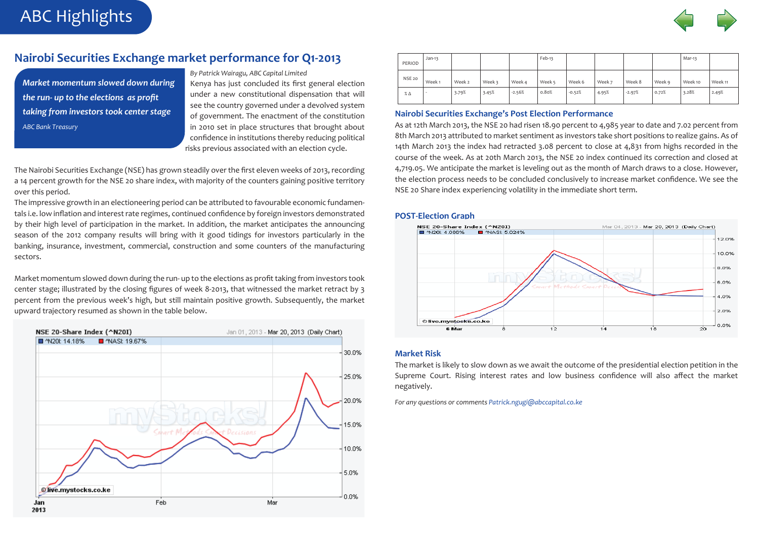

#### **Nairobi Securities Exchange market performance for Q1-2013**

*Market momentum slowed down during the run- up to the elections as profit taking from investors took center stage ABC Bank Treasury*

ABC Highlights

#### *By Patrick Wairagu, ABC Capital Limited*

Kenya has just concluded its first general election under a new constitutional dispensation that will see the country governed under a devolved system of government. The enactment of the constitution in 2010 set in place structures that brought about confidence in institutions thereby reducing political risks previous associated with an election cycle.

The Nairobi Securities Exchange (NSE) has grown steadily over the first eleven weeks of 2013, recording a 14 percent growth for the NSE 20 share index, with majority of the counters gaining positive territory over this period.

The impressive growth in an electioneering period can be attributed to favourable economic fundamentals i.e. low inflation and interest rate regimes, continued confidence by foreign investors demonstrated by their high level of participation in the market. In addition, the market anticipates the announcing season of the 2012 company results will bring with it good tidings for investors particularly in the banking, insurance, investment, commercial, construction and some counters of the manufacturing sectors.

Market momentum slowed down during the run- up to the elections as profit taking from investors took center stage; illustrated by the closing figures of week 8-2013, that witnessed the market retract by 3 percent from the previous week's high, but still maintain positive growth. Subsequently, the market upward trajectory resumed as shown in the table below.



| PERIOD        | $Jan-13$          |        |        |          | Feb-13 |          |        |          |        | Mar-13  |         |
|---------------|-------------------|--------|--------|----------|--------|----------|--------|----------|--------|---------|---------|
| <b>NSE 20</b> | Week <sub>1</sub> | Week 2 | Week 3 | Week 4   | Week 5 | Week 6   | Week 7 | Week 8   | Week 9 | Week 10 | Week 11 |
| $\%$ $\Delta$ |                   | 3.79%  | 3.45%  | $-2.56%$ | 0.80%  | $-0.52%$ | 4.95%  | $-2.97%$ | 0.72%  | 3.28%   | 2.49%   |

#### **Nairobi Securities Exchange's Post Election Performance**

As at 12th March 2013, the NSE 20 had risen 18.90 percent to 4,985 year to date and 7.02 percent from 8th March 2013 attributed to market sentiment as investors take short positions to realize gains. As of 14th March 2013 the index had retracted 3.08 percent to close at 4,831 from highs recorded in the course of the week. As at 20th March 2013, the NSE 20 index continued its correction and closed at 4,719.05. We anticipate the market is leveling out as the month of March draws to a close. However, the election process needs to be concluded conclusively to increase market confidence. We see the NSE 20 Share index experiencing volatility in the immediate short term.

#### **POST-Election Graph**



#### **Market Risk**

The market is likely to slow down as we await the outcome of the presidential election petition in the Supreme Court. Rising interest rates and low business confidence will also affect the market negatively.

*For any questions or comments Patrick.ngugi@abccapital.co.ke*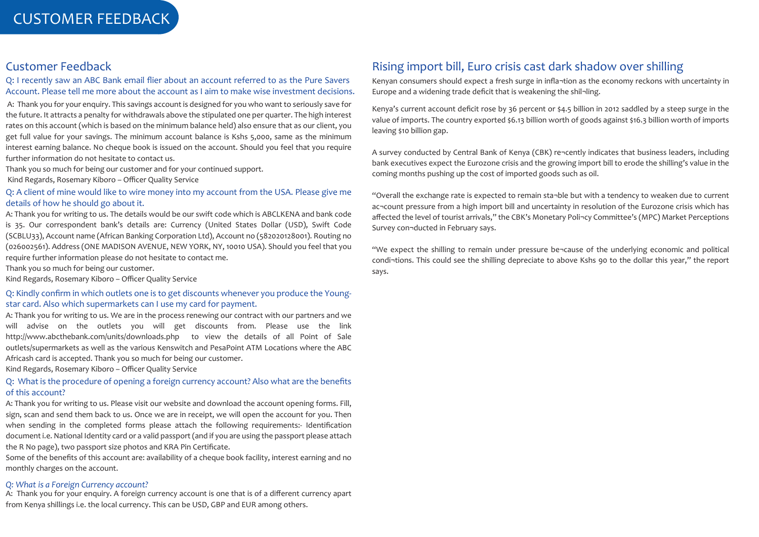#### Customer Feedback

Q: I recently saw an ABC Bank email flier about an account referred to as the Pure Savers Account. Please tell me more about the account as I aim to make wise investment decisions.

 A: Thank you for your enquiry. This savings account is designed for you who want to seriously save for the future. It attracts a penalty for withdrawals above the stipulated one per quarter. The high interest rates on this account (which is based on the minimum balance held) also ensure that as our client, you get full value for your savings. The minimum account balance is Kshs 5,000, same as the minimum interest earning balance. No cheque book is issued on the account. Should you feel that you require further information do not hesitate to contact us.

Thank you so much for being our customer and for your continued support.

Kind Regards, Rosemary Kiboro – Officer Quality Service

#### Q: A client of mine would like to wire money into my account from the USA. Please give me details of how he should go about it.

A: Thank you for writing to us. The details would be our swift code which is ABCLKENA and bank code is 35. Our correspondent bank's details are: Currency (United States Dollar (USD), Swift Code (SCBLU33), Account name (African Banking Corporation Ltd), Account no (582020128001). Routing no (026002561). Address (ONE MADISON AVENUE, NEW YORK, NY, 10010 USA). Should you feel that you require further information please do not hesitate to contact me.

Thank you so much for being our customer.

Kind Regards, Rosemary Kiboro – Officer Quality Service

#### Q: Kindly confirm in which outlets one is to get discounts whenever you produce the Youngstar card. Also which supermarkets can I use my card for payment.

A: Thank you for writing to us. We are in the process renewing our contract with our partners and we will advise on the outlets you will get discounts from. Please use the link http://www.abcthebank.com/units/downloads.php to view the details of all Point of Sale outlets/supermarkets as well as the various Kenswitch and PesaPoint ATM Locations where the ABC Africash card is accepted. Thank you so much for being our customer.

Kind Regards, Rosemary Kiboro – Officer Quality Service

#### Q: What is the procedure of opening a foreign currency account? Also what are the benefits of this account?

A: Thank you for writing to us. Please visit our website and download the account opening forms. Fill, sign, scan and send them back to us. Once we are in receipt, we will open the account for you. Then when sending in the completed forms please attach the following requirements:- Identification document i.e. National Identity card or a valid passport (and if you are using the passport please attach the R No page), two passport size photos and KRA Pin Certificate.

Some of the benefits of this account are: availability of a cheque book facility, interest earning and no monthly charges on the account.

#### *Q: What is a Foreign Currency account?*

A: Thank you for your enquiry. A foreign currency account is one that is of a different currency apart from Kenya shillings i.e. the local currency. This can be USD, GBP and EUR among others.

## Rising import bill, Euro crisis cast dark shadow over shilling

Kenyan consumers should expect a fresh surge in infla¬tion as the economy reckons with uncertainty in Europe and a widening trade deficit that is weakening the shil¬ling.

Kenya's current account deficit rose by 36 percent or \$4.5 billion in 2012 saddled by a steep surge in the value of imports. The country exported \$6.13 billion worth of goods against \$16.3 billion worth of imports leaving \$10 billion gap.

A survey conducted by Central Bank of Kenya (CBK) re¬cently indicates that business leaders, including bank executives expect the Eurozone crisis and the growing import bill to erode the shilling's value in the coming months pushing up the cost of imported goods such as oil.

"Overall the exchange rate is expected to remain sta¬ble but with a tendency to weaken due to current ac¬count pressure from a high import bill and uncertainty in resolution of the Eurozone crisis which has affected the level of tourist arrivals," the CBK's Monetary Poli¬cy Committee's (MPC) Market Perceptions Survey con¬ducted in February says.

"We expect the shilling to remain under pressure be¬cause of the underlying economic and political condi¬tions. This could see the shilling depreciate to above Kshs 90 to the dollar this year," the report says.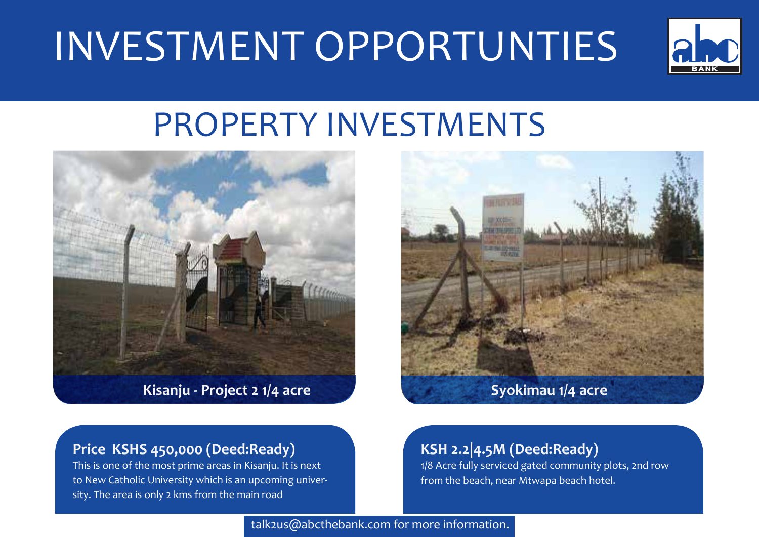## INVESTMENT OPPORTUNTIES



## PROPERTY INVESTMENTS



**Kisanju - Project 2 1/4 acre**



## **Price KSHS 450,000 (Deed:Ready)**

This is one of the most prime areas in Kisanju. It is next to New Catholic University which is an upcoming university. The area is only 2 kms from the main road

## **KSH 2.2|4.5M (Deed:Ready)**

1/8 Acre fully serviced gated community plots, 2nd row from the beach, near Mtwapa beach hotel.

talk2us@abcthebank.com for more information.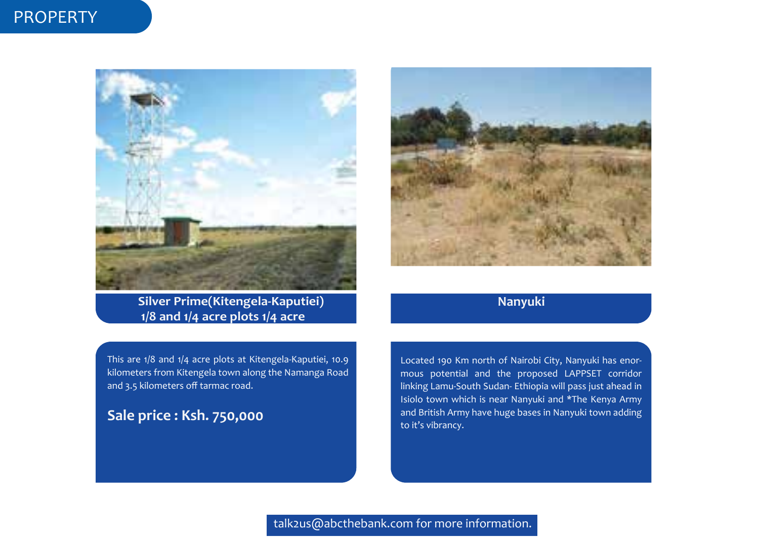## PROPERTY



**Silver Prime(Kitengela-Kaputiei) 1/8 and 1/4 acre plots 1/4 acre** 

This are 1/8 and 1/4 acre plots at Kitengela-Kaputiei, 10.9 kilometers from Kitengela town along the Namanga Road and 3.5 kilometers off tarmac road.

## **Sale price : Ksh. 750,000**



## **Nanyuki**

Located 190 Km north of Nairobi City, Nanyuki has enormous potential and the proposed LAPPSET corridor linking Lamu-South Sudan- Ethiopia will pass just ahead in Isiolo town which is near Nanyuki and \*The Kenya Army and British Army have huge bases in Nanyuki town adding to it's vibrancy.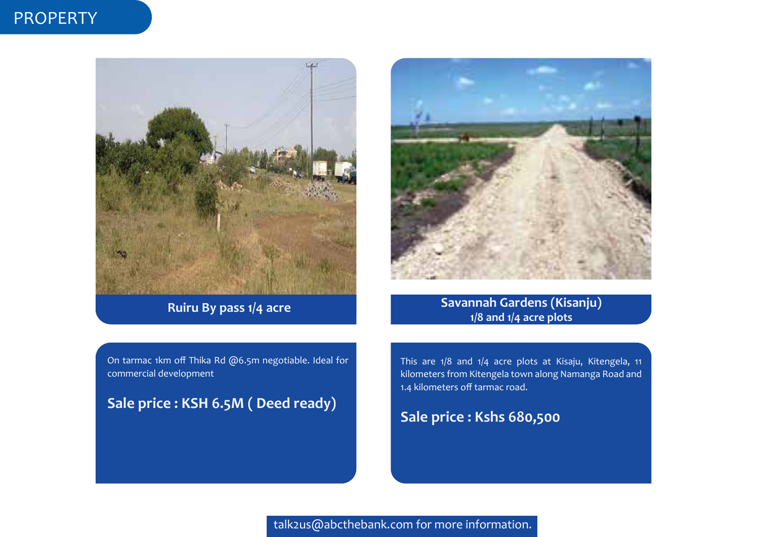## PROPERTY



**Ruiru By pass 1/4 acre** 



**Savannah Gardens (Kisanju) 1/8 and 1/4 acre plots**

On tarmac 1km off Thika Rd @6.5m negotiable. Ideal for commercial development

**Sale price : KSH 6.5M ( Deed ready)**

This are 1/8 and 1/4 acre plots at Kisaju, Kitengela, 11 kilometers from Kitengela town along Namanga Road and 1.4 kilometers off tarmac road.

## **Sale price : Kshs 680,500**